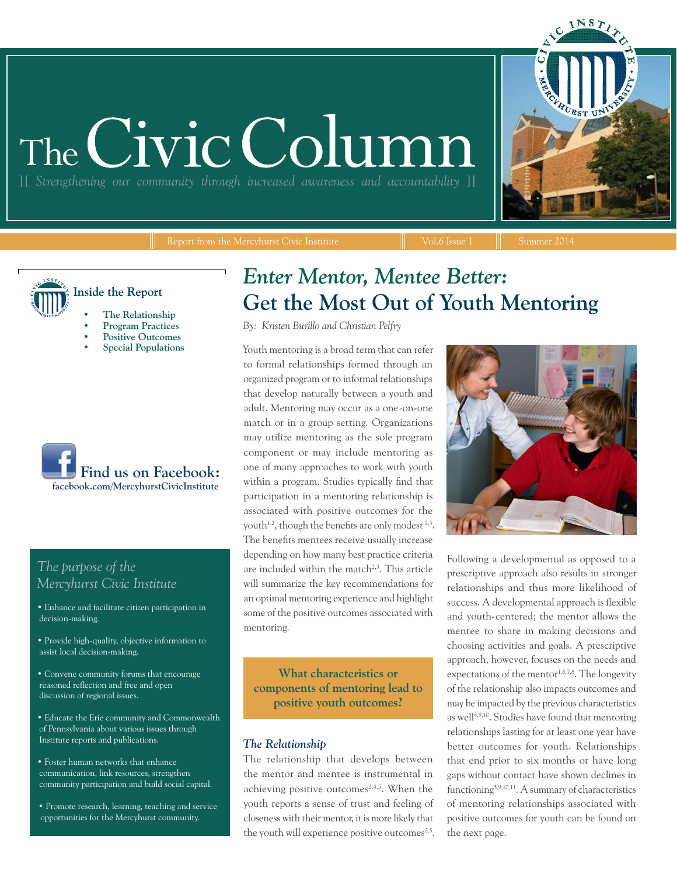# The Civic Colum

][ *Strengthening our community through increased awareness and accountability* ][

INST

**Inside the Report • The Relationship**

- **• Program Practices**
- **• Positive Outcomes**
- 



### *The purpose of the Mercyhurst Civic Institute*

- Enhance and facilitate citizen participation in decision-making.
- Provide high-quality, objective information to assist local decision-making.
- Convene community forums that encourage reasoned reflection and free and open discussion of regional issues.
- Educate the Erie community and Commonwealth of Pennsylvania about various issues through Institute reports and publications.
- Foster human networks that enhance communication, link resources, strengthen community participation and build social capital.
- Promote research, learning, teaching and service opportunities for the Mercyhurst community.

## *Enter Mentor, Mentee Better:*  **Get the Most Out of Youth Mentoring**

*By: Kristen Burillo and Christian Pelfry*

**• Special Populations** Youth mentoring is a broad term that can refer to formal relationships formed through an organized program or to informal relationships that develop naturally between a youth and adult. Mentoring may occur as a one-on-one match or in a group setting. Organizations may utilize mentoring as the sole program component or may include mentoring as one of many approaches to work with youth within a program. Studies typically find that participation in a mentoring relationship is associated with positive outcomes for the youth<sup>1,2</sup>, though the benefits are only modest  $2,3$ . The benefits mentees receive usually increase depending on how many best practice criteria are included within the match<sup>2,3</sup>. This article will summarize the key recommendations for an optimal mentoring experience and highlight some of the positive outcomes associated with mentoring.

> **What characteristics or components of mentoring lead to positive youth outcomes?**

#### *The Relationship*

The relationship that develops between the mentor and mentee is instrumental in achieving positive outcomes<sup>2,4,5</sup>. When the youth reports a sense of trust and feeling of closeness with their mentor, it is more likely that the youth will experience positive outcomes<sup>2,5</sup>.



Following a developmental as opposed to a prescriptive approach also results in stronger relationships and thus more likelihood of success. A developmental approach is flexible and youth-centered; the mentor allows the mentee to share in making decisions and choosing activities and goals. A prescriptive approach, however, focuses on the needs and expectations of the mentor<sup>1,6,7,8</sup>. The longevity of the relationship also impacts outcomes and may be impacted by the previous characteristics as well<sup>5,9,10</sup>. Studies have found that mentoring relationships lasting for at least one year have better outcomes for youth. Relationships that end prior to six months or have long gaps without contact have shown declines in functioning5,9,10,11. A summary of characteristics of mentoring relationships associated with positive outcomes for youth can be found on the next page.

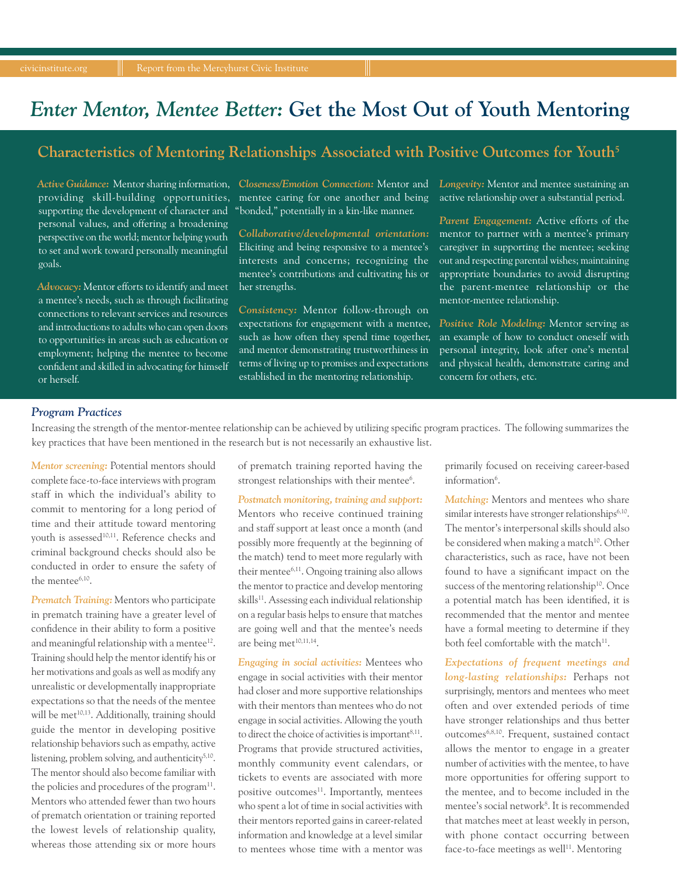## *Enter Mentor, Mentee Better:* **Get the Most Out of Youth Mentoring**

#### **Characteristics of Mentoring Relationships Associated with Positive Outcomes for Youth5**

*Active Guidance:* Mentor sharing information, *Closeness/Emotion Connection:* Mentor and supporting the development of character and "bonded," potentially in a kin-like manner. personal values, and offering a broadening perspective on the world; mentor helping youth to set and work toward personally meaningful goals.

*Advocacy:* Mentor efforts to identify and meet a mentee's needs, such as through facilitating connections to relevant services and resources and introductions to adults who can open doors to opportunities in areas such as education or employment; helping the mentee to become confident and skilled in advocating for himself or herself.

providing skill-building opportunities, mentee caring for one another and being

*Collaborative/developmental orientation:*  Eliciting and being responsive to a mentee's interests and concerns; recognizing the mentee's contributions and cultivating his or her strengths.

*Consistency:* Mentor follow-through on expectations for engagement with a mentee, such as how often they spend time together, and mentor demonstrating trustworthiness in terms of living up to promises and expectations established in the mentoring relationship.

*Longevity:* Mentor and mentee sustaining an active relationship over a substantial period.

*Parent Engagement:* Active efforts of the mentor to partner with a mentee's primary caregiver in supporting the mentee; seeking out and respecting parental wishes; maintaining appropriate boundaries to avoid disrupting the parent-mentee relationship or the mentor-mentee relationship.

*Positive Role Modeling:* Mentor serving as an example of how to conduct oneself with personal integrity, look after one's mental and physical health, demonstrate caring and concern for others, etc.

#### *Program Practices*

Increasing the strength of the mentor-mentee relationship can be achieved by utilizing specific program practices. The following summarizes the key practices that have been mentioned in the research but is not necessarily an exhaustive list.

*Mentor screening:* Potential mentors should complete face-to-face interviews with program staff in which the individual's ability to commit to mentoring for a long period of time and their attitude toward mentoring youth is assessed<sup>10,11</sup>. Reference checks and criminal background checks should also be conducted in order to ensure the safety of the mentee6,10.

*Prematch Training:* Mentors who participate in prematch training have a greater level of confidence in their ability to form a positive and meaningful relationship with a mentee<sup>12</sup>. Training should help the mentor identify his or her motivations and goals as well as modify any unrealistic or developmentally inappropriate expectations so that the needs of the mentee will be met<sup>10,13</sup>. Additionally, training should guide the mentor in developing positive relationship behaviors such as empathy, active listening, problem solving, and authenticity<sup>5,10</sup>. The mentor should also become familiar with the policies and procedures of the program $^{11}$ . Mentors who attended fewer than two hours of prematch orientation or training reported the lowest levels of relationship quality, whereas those attending six or more hours

of prematch training reported having the strongest relationships with their mentee<sup>6</sup>.

*Postmatch monitoring, training and support:*  Mentors who receive continued training and staff support at least once a month (and possibly more frequently at the beginning of the match) tend to meet more regularly with their mentee<sup>6,11</sup>. Ongoing training also allows the mentor to practice and develop mentoring skills<sup>11</sup>. Assessing each individual relationship on a regular basis helps to ensure that matches are going well and that the mentee's needs are being met<sup>10,11,14</sup>.

*Engaging in social activities:* Mentees who engage in social activities with their mentor had closer and more supportive relationships with their mentors than mentees who do not engage in social activities. Allowing the youth to direct the choice of activities is important $8,11$ . Programs that provide structured activities, monthly community event calendars, or tickets to events are associated with more positive outcomes<sup>11</sup>. Importantly, mentees who spent a lot of time in social activities with their mentors reported gains in career-related information and knowledge at a level similar to mentees whose time with a mentor was primarily focused on receiving career-based information<sup>6</sup>.

*Matching:* Mentors and mentees who share similar interests have stronger relationships<sup>6,10</sup>. The mentor's interpersonal skills should also be considered when making a match<sup>10</sup>. Other characteristics, such as race, have not been found to have a significant impact on the success of the mentoring relationship<sup>10</sup>. Once a potential match has been identified, it is recommended that the mentor and mentee have a formal meeting to determine if they both feel comfortable with the match $11$ .

*Expectations of frequent meetings and long-lasting relationships:* Perhaps not surprisingly, mentors and mentees who meet often and over extended periods of time have stronger relationships and thus better outcomes6,8,10. Frequent, sustained contact allows the mentor to engage in a greater number of activities with the mentee, to have more opportunities for offering support to the mentee, and to become included in the mentee's social network8 . It is recommended that matches meet at least weekly in person, with phone contact occurring between face-to-face meetings as well<sup>11</sup>. Mentoring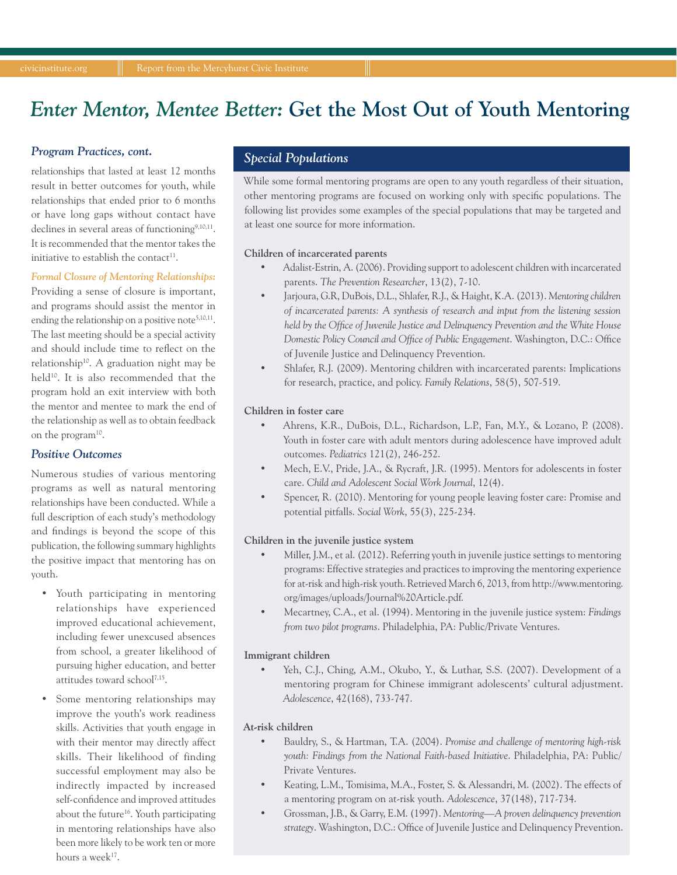## *Enter Mentor, Mentee Better:* **Get the Most Out of Youth Mentoring**

#### *Program Practices, cont.*

relationships that lasted at least 12 months result in better outcomes for youth, while relationships that ended prior to 6 months or have long gaps without contact have declines in several areas of functioning<sup>9,10,11</sup>. It is recommended that the mentor takes the initiative to establish the contact $11$ .

#### *Formal Closure of Mentoring Relationships:*

Providing a sense of closure is important, and programs should assist the mentor in ending the relationship on a positive note<sup>5,10,11</sup>. The last meeting should be a special activity and should include time to reflect on the relationship10. A graduation night may be held<sup>10</sup>. It is also recommended that the program hold an exit interview with both the mentor and mentee to mark the end of the relationship as well as to obtain feedback on the program<sup>10</sup>.

#### *Positive Outcomes*

Numerous studies of various mentoring programs as well as natural mentoring relationships have been conducted. While a full description of each study's methodology and findings is beyond the scope of this publication, the following summary highlights the positive impact that mentoring has on youth.

- Youth participating in mentoring relationships have experienced improved educational achievement, including fewer unexcused absences from school, a greater likelihood of pursuing higher education, and better attitudes toward school7,15.
- Some mentoring relationships may improve the youth's work readiness skills. Activities that youth engage in with their mentor may directly affect skills. Their likelihood of finding successful employment may also be indirectly impacted by increased self-confidence and improved attitudes about the future<sup>16</sup>. Youth participating in mentoring relationships have also been more likely to be work ten or more hours a week<sup>17</sup>.

#### *Special Populations*

While some formal mentoring programs are open to any youth regardless of their situation, other mentoring programs are focused on working only with specific populations. The following list provides some examples of the special populations that may be targeted and at least one source for more information.

#### **Children of incarcerated parents**

- Adalist-Estrin, A. (2006). Providing support to adolescent children with incarcerated parents. *The Prevention Researcher*, 13(2), 7-10.
- Jarjoura, G.R, DuBois, D.L., Shlafer, R.J., & Haight, K.A. (2013). *Mentoring children of incarcerated parents: A synthesis of research and input from the listening session held by the Office of Juvenile Justice and Delinquency Prevention and the White House Domestic Policy Council and Office of Public Engagement*. Washington, D.C.: Office of Juvenile Justice and Delinquency Prevention.
- Shlafer, R.J. (2009). Mentoring children with incarcerated parents: Implications for research, practice, and policy. *Family Relations*, 58(5), 507-519.

#### **Children in foster care**

- Ahrens, K.R., DuBois, D.L., Richardson, L.P., Fan, M.Y., & Lozano, P. (2008). Youth in foster care with adult mentors during adolescence have improved adult outcomes. *Pediatrics* 121(2), 246-252.
- Mech, E.V., Pride, J.A., & Rycraft, J.R. (1995). Mentors for adolescents in foster care. *Child and Adolescent Social Work Journal*, 12(4).
- Spencer, R. (2010). Mentoring for young people leaving foster care: Promise and potential pitfalls. *Social Work*, 55(3), 225-234.

#### **Children in the juvenile justice system**

- Miller, J.M., et al. (2012). Referring youth in juvenile justice settings to mentoring programs: Effective strategies and practices to improving the mentoring experience for at-risk and high-risk youth. Retrieved March 6, 2013, from http://www.mentoring. org/images/uploads/Journal%20Article.pdf.
- Mecartney, C.A., et al. (1994). Mentoring in the juvenile justice system: *Findings from two pilot programs*. Philadelphia, PA: Public/Private Ventures.

#### **Immigrant children**

• Yeh, C.J., Ching, A.M., Okubo, Y., & Luthar, S.S. (2007). Development of a mentoring program for Chinese immigrant adolescents' cultural adjustment. *Adolescence*, 42(168), 733-747.

#### **At-risk children**

- Bauldry, S., & Hartman, T.A. (2004). *Promise and challenge of mentoring high-risk youth: Findings from the National Faith-based Initiative*. Philadelphia, PA: Public/ Private Ventures.
- Keating, L.M., Tomisima, M.A., Foster, S. & Alessandri, M. (2002). The effects of a mentoring program on at-risk youth. *Adolescence*, 37(148), 717-734.
- Grossman, J.B., & Garry, E.M. (1997). *Mentoring—A proven delinquency prevention strategy*. Washington, D.C.: Office of Juvenile Justice and Delinquency Prevention.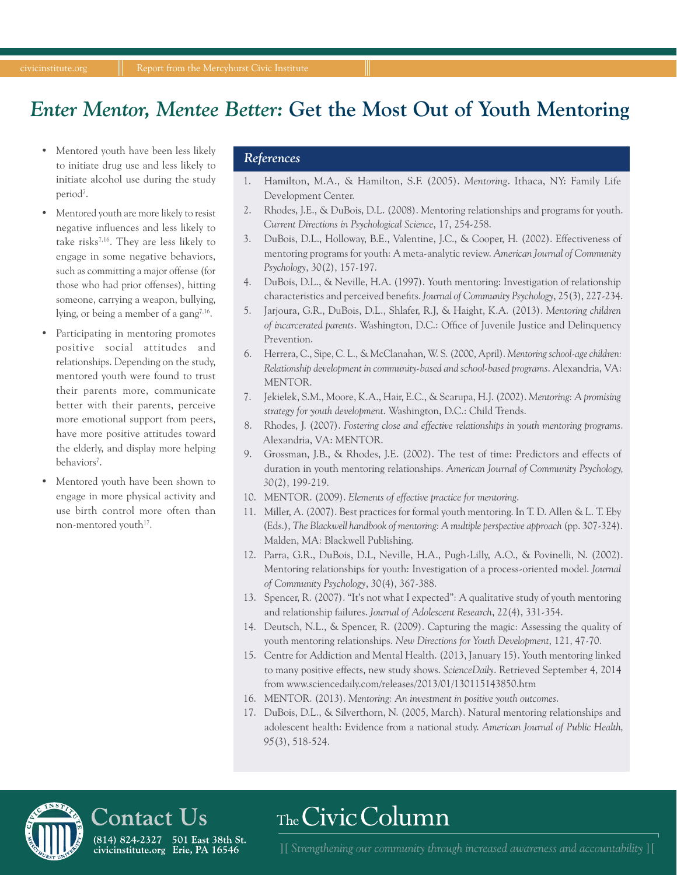## *Enter Mentor, Mentee Better:* **Get the Most Out of Youth Mentoring**

- Mentored youth have been less likely to initiate drug use and less likely to initiate alcohol use during the study period<sup>7</sup>.
- Mentored youth are more likely to resist negative influences and less likely to take risks $^{7,16}$ . They are less likely to engage in some negative behaviors, such as committing a major offense (for those who had prior offenses), hitting someone, carrying a weapon, bullying, lying, or being a member of a gang<sup>7,16</sup>.
- Participating in mentoring promotes positive social attitudes and relationships. Depending on the study, mentored youth were found to trust their parents more, communicate better with their parents, perceive more emotional support from peers, have more positive attitudes toward the elderly, and display more helping behaviors<sup>7</sup>.
- Mentored youth have been shown to engage in more physical activity and use birth control more often than non-mentored youth<sup>17</sup>.

#### *References*

- 1. Hamilton, M.A., & Hamilton, S.F. (2005). *Mentoring*. Ithaca, NY: Family Life Development Center.
- 2. Rhodes, J.E., & DuBois, D.L. (2008). Mentoring relationships and programs for youth. *Current Directions in Psychological Science*, 17, 254-258.
- 3. DuBois, D.L., Holloway, B.E., Valentine, J.C., & Cooper, H. (2002). Effectiveness of mentoring programs for youth: A meta-analytic review. *American Journal of Community Psychology*, 30(2), 157-197.
- 4. DuBois, D.L., & Neville, H.A. (1997). Youth mentoring: Investigation of relationship characteristics and perceived benefits. *Journal of Community Psychology*, 25(3), 227-234.
- 5. Jarjoura, G.R., DuBois, D.L., Shlafer, R.J, & Haight, K.A. (2013). *Mentoring children of incarcerated parents*. Washington, D.C.: Office of Juvenile Justice and Delinquency Prevention.
- 6. Herrera, C., Sipe, C. L., & McClanahan, W. S. (2000, April). *Mentoring school-age children: Relationship development in community-based and school-based programs*. Alexandria, VA: MENTOR.
- 7. Jekielek, S.M., Moore, K.A., Hair, E.C., & Scarupa, H.J. (2002). *Mentoring: A promising strategy for youth development*. Washington, D.C.: Child Trends.
- 8. Rhodes, J. (2007). *Fostering close and effective relationships in youth mentoring programs*. Alexandria, VA: MENTOR.
- 9. Grossman, J.B., & Rhodes, J.E. (2002). The test of time: Predictors and effects of duration in youth mentoring relationships. *American Journal of Community Psychology, 30*(2), 199-219.
- 10. MENTOR. (2009). *Elements of effective practice for mentoring*.
- 11. Miller, A. (2007). Best practices for formal youth mentoring. In T. D. Allen & L. T. Eby (Eds.), *The Blackwell handbook of mentoring: A multiple perspective approach* (pp. 307-324). Malden, MA: Blackwell Publishing.
- 12. Parra, G.R., DuBois, D.L, Neville, H.A., Pugh-Lilly, A.O., & Povinelli, N. (2002). Mentoring relationships for youth: Investigation of a process-oriented model. *Journal of Community Psychology*, 30(4), 367-388.
- 13. Spencer, R. (2007). "It's not what I expected": A qualitative study of youth mentoring and relationship failures. *Journal of Adolescent Research*, 22(4), 331-354.
- 14. Deutsch, N.L., & Spencer, R. (2009). Capturing the magic: Assessing the quality of youth mentoring relationships. *New Directions for Youth Development*, 121, 47-70.
- 15. Centre for Addiction and Mental Health. (2013, January 15). Youth mentoring linked to many positive effects, new study shows. *ScienceDaily*. Retrieved September 4, 2014 from www.sciencedaily.com/releases/2013/01/130115143850.htm
- 16. MENTOR. (2013). *Mentoring: An investment in positive youth outcomes*.

The Civic Column

17. DuBois, D.L., & Silverthorn, N. (2005, March). Natural mentoring relationships and adolescent health: Evidence from a national study. *American Journal of Public Health, 95*(3), 518-524.

## Contact Us

(814) 824-2327 501 East 38th St.  $6017, 6242527$  301 East 3011 6

[16] Strengthening our community through increased awareness and accountability [15]